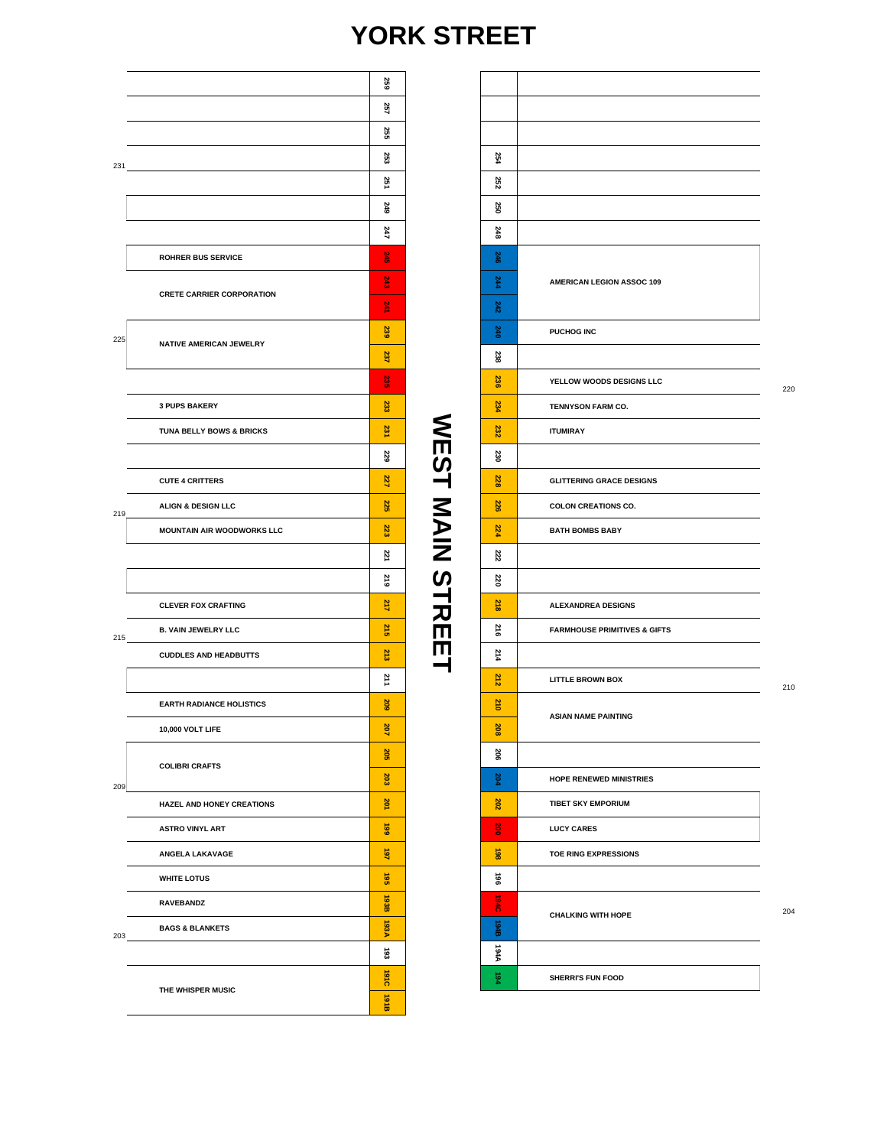## **YORK STREET**

**WEST MAIN STREET**

**WEST MAIN STREET** 

|     |                                  | 259                |  |  |  |  |
|-----|----------------------------------|--------------------|--|--|--|--|
|     |                                  | 257                |  |  |  |  |
|     |                                  | 255                |  |  |  |  |
|     | 231                              | 253                |  |  |  |  |
|     |                                  | 251                |  |  |  |  |
|     |                                  | 249                |  |  |  |  |
|     |                                  | 247                |  |  |  |  |
|     | <b>ROHRER BUS SERVICE</b>        | S45                |  |  |  |  |
|     | <b>CRETE CARRIER CORPORATION</b> | <b>SAS</b>         |  |  |  |  |
|     |                                  |                    |  |  |  |  |
| 225 | NATIVE AMERICAN JEWELRY          | 239                |  |  |  |  |
|     |                                  | 237                |  |  |  |  |
|     |                                  | <b>SS</b>          |  |  |  |  |
|     | <b>3 PUPS BAKERY</b>             | 233                |  |  |  |  |
|     | TUNA BELLY BOWS & BRICKS         | 231                |  |  |  |  |
|     |                                  | 229                |  |  |  |  |
|     | <b>CUTE 4 CRITTERS</b>           | 227                |  |  |  |  |
| 219 | ALIGN & DESIGN LLC               | 225                |  |  |  |  |
|     | MOUNTAIN AIR WOODWORKS LLC       | 223                |  |  |  |  |
|     |                                  | 221                |  |  |  |  |
|     |                                  | <b>S13</b>         |  |  |  |  |
|     | <b>CLEVER FOX CRAFTING</b>       | 217                |  |  |  |  |
|     | B. VAIN JEWELRY LLC              | 215                |  |  |  |  |
|     | <b>CUDDLES AND HEADBUTTS</b>     | 213                |  |  |  |  |
|     |                                  | 11                 |  |  |  |  |
|     | <b>EARTH RADIANCE HOLISTICS</b>  | 2029               |  |  |  |  |
|     | 10,000 VOLT LIFE                 | 207                |  |  |  |  |
|     | <b>COLIBRI CRAFTS</b>            |                    |  |  |  |  |
| 209 |                                  |                    |  |  |  |  |
|     | HAZEL AND HONEY CREATIONS        | 201                |  |  |  |  |
|     | <b>ASTRO VINYL ART</b>           | $\frac{6}{6}$      |  |  |  |  |
|     | ANGELA LAKAVAGE                  | 481                |  |  |  |  |
|     | <b>WHITE LOTUS</b>               | g                  |  |  |  |  |
|     | <b>RAVEBANDZ</b>                 | 193B               |  |  |  |  |
| 203 | <b>BAGS &amp; BLANKETS</b>       | <b>ASS1</b>        |  |  |  |  |
|     |                                  | జే<br>1910         |  |  |  |  |
|     | THE WHISPER MUSIC                |                    |  |  |  |  |
|     |                                  | $\frac{1}{2}$<br>ω |  |  |  |  |

| 254         |                                         |     |
|-------------|-----------------------------------------|-----|
| 252         |                                         |     |
| 250         |                                         |     |
| 248         |                                         |     |
| 246         |                                         |     |
| 244         | AMERICAN LEGION ASSOC 109               |     |
| 242         |                                         |     |
| 240         | PUCHOG INC                              |     |
| 238         |                                         |     |
| 236         | YELLOW WOODS DESIGNS LLC                | 220 |
| 234         | TENNYSON FARM CO.                       |     |
| 232         | <b>ITUMIRAY</b>                         |     |
| 230         |                                         |     |
| 228         | <b>GLITTERING GRACE DESIGNS</b>         |     |
| 226         | <b>COLON CREATIONS CO.</b>              |     |
| 224         | <b>BATH BOMBS BABY</b>                  |     |
| 222         |                                         |     |
| 220         |                                         |     |
| <b>218</b>  | <b>ALEXANDREA DESIGNS</b>               |     |
| 216         | <b>FARMHOUSE PRIMITIVES &amp; GIFTS</b> |     |
| 214         |                                         |     |
| 212         | <b>LITTLE BROWN BOX</b>                 | 210 |
| 210         |                                         |     |
| ä           | <b>ASIAN NAME PAINTING</b>              |     |
| 206         |                                         |     |
| 204         | <b>HOPE RENEWED MINISTRIES</b>          |     |
| 202         | <b>TIBET SKY EMPORIUM</b>               |     |
| š           | <b>LUCY CARES</b>                       |     |
| 88          | TOE RING EXPRESSIONS                    |     |
| 96          |                                         |     |
| 1940        |                                         | 204 |
| 8161        | <b>CHALKING WITH HOPE</b>               |     |
| <b>AAR1</b> |                                         |     |
| 4           | <b>SHERRI'S FUN FOOD</b>                |     |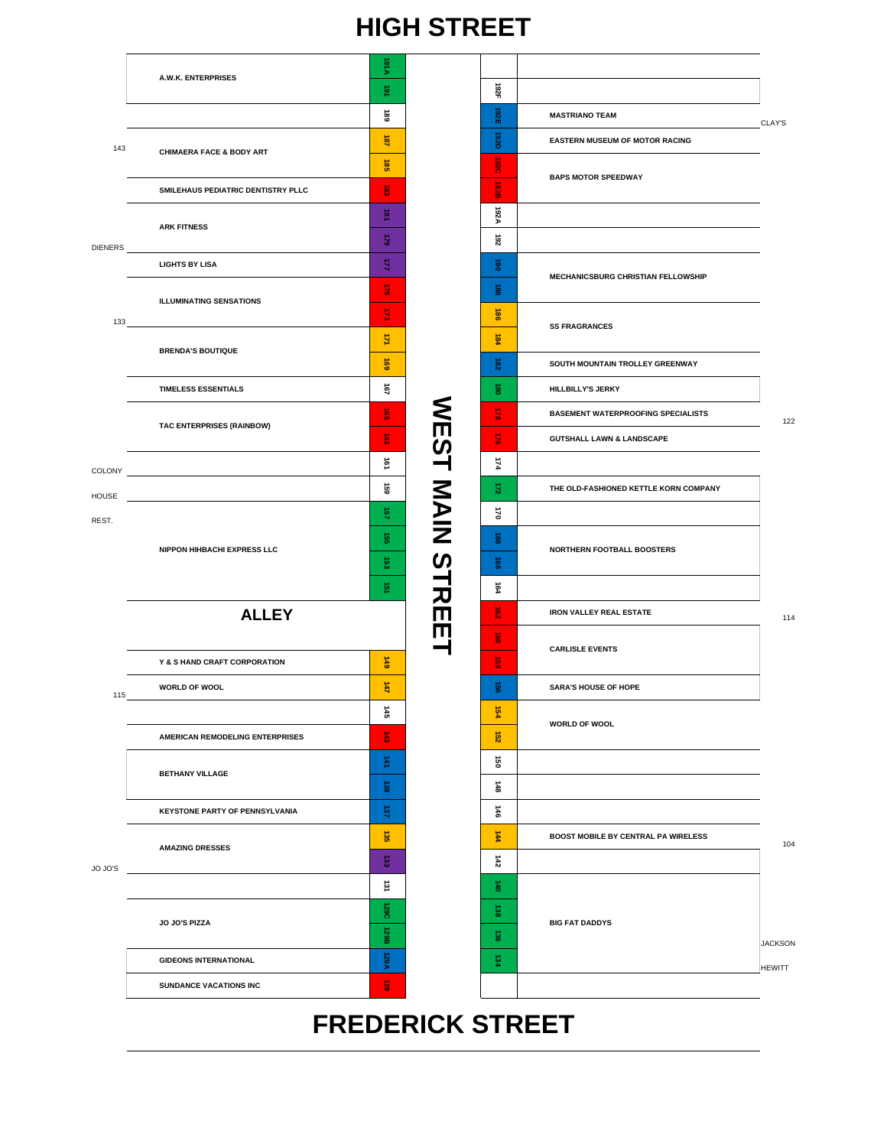# **FREDERICK STREET**

|                |                                       |                             | .                |                         |                                            |                |
|----------------|---------------------------------------|-----------------------------|------------------|-------------------------|--------------------------------------------|----------------|
|                | A.W.K. ENTERPRISES                    | VI6L                        |                  |                         |                                            |                |
|                |                                       | 豆                           |                  | 182F                    |                                            |                |
|                |                                       | ∸<br>8                      |                  | 192E                    | <b>MASTRIANO TEAM</b>                      | CLAY'S         |
| 143            | <b>CHIMAERA FACE &amp; BODY ART</b>   | 高                           |                  | <b>192D</b>             | EASTERN MUSEUM OF MOTOR RACING             |                |
|                |                                       | $\overline{\mathbf{38}}$    |                  | $\overline{0}20$        | <b>BAPS MOTOR SPEEDWAY</b>                 |                |
|                | SMILEHAUS PEDIATRIC DENTISTRY PLLC    | $\vec{a}$                   |                  | <b>B2B</b>              |                                            |                |
|                | <b>ARK FITNESS</b>                    | $\vec{B}$                   |                  | <b>192A</b>             |                                            |                |
| <b>DIENERS</b> |                                       | 621                         |                  | 261                     |                                            |                |
|                | <b>LIGHTS BY LISA</b>                 | $\vec{z}$                   |                  | $\ddot{\mathbf{g}}$     | <b>MECHANICSBURG CHRISTIAN FELLOWSHIP</b>  |                |
|                | <b>ILLUMINATING SENSATIONS</b>        | 큷                           |                  | ខ្ល                     |                                            |                |
| 133            |                                       | $\vec{u}$                   |                  | $\overrightarrow{8}$    | <b>SS FRAGRANCES</b>                       |                |
|                | <b>BRENDA'S BOUTIQUE</b>              | 킟                           |                  | 184                     |                                            |                |
|                |                                       | 691                         |                  | នី                      | SOUTH MOUNTAIN TROLLEY GREENWAY            |                |
|                | <b>TIMELESS ESSENTIALS</b>            | $\overline{2}$              |                  | ŝ                       | HILLBILLY'S JERKY                          |                |
|                |                                       | $\vec{\mathbf{g}}$          |                  | $\frac{1}{2}$           | <b>BASEMENT WATERPROOFING SPECIALISTS</b>  | 122            |
|                | TAC ENTERPRISES (RAINBOW)             | $\vec{e}$                   |                  | $\frac{1}{2}$           | <b>GUTSHALL LAWN &amp; LANDSCAPE</b>       |                |
|                |                                       | $\vec{2}$                   |                  | 174                     |                                            |                |
|                | HOUSE <b>HOUSE</b>                    | GS)                         |                  | ష                       | THE OLD-FASHIONED KETTLE KORN COMPANY      |                |
| REST.          |                                       | $\frac{1}{2}$               | <b>NEST MAIN</b> | 170                     |                                            |                |
|                |                                       | $\vec{g}_i$                 |                  | ౙ                       |                                            |                |
|                | NIPPON HIHBACHI EXPRESS LLC           | $\overrightarrow{\text{G}}$ |                  | $\overrightarrow{9}$    | NORTHERN FOOTBALL BOOSTERS                 |                |
|                |                                       | 壺                           | <b>STRE</b>      | Ē4                      |                                            |                |
|                | <b>ALLEY</b>                          |                             |                  | $\vec{e}$               | <b>IRON VALLEY REAL ESTATE</b>             | 114            |
|                |                                       |                             |                  | $\overline{\mathbf{g}}$ |                                            |                |
|                | Y & S HAND CRAFT CORPORATION          | 6#1                         |                  | $\vec{g}$               | <b>CARLISLE EVENTS</b>                     |                |
| 115            | WORLD OF WOOL                         | 쥑                           |                  | 8                       | <b>SARA'S HOUSE OF HOPE</b>                |                |
|                |                                       | 445                         |                  | 484                     |                                            |                |
|                | AMERICAN REMODELING ENTERPRISES       | $\vec{z}$                   |                  | $\frac{152}{2}$         | <b>WORLD OF WOOL</b>                       |                |
|                |                                       | 수                           |                  | ġ                       |                                            |                |
|                | <b>BETHANY VILLAGE</b>                | g)                          |                  | $\frac{4}{48}$          |                                            |                |
|                | <b>KEYSTONE PARTY OF PENNSYLVANIA</b> | 9                           |                  | $\frac{1}{6}$           |                                            |                |
|                |                                       | $\overrightarrow{35}$       |                  | 4                       | <b>BOOST MOBILE BY CENTRAL PA WIRELESS</b> | 104            |
|                | <b>AMAZING DRESSES</b>                |                             |                  | 雨                       |                                            |                |
| JO JO'S        |                                       | 흥<br>$\vec{\mathbf{z}}$     |                  | $\frac{1}{40}$          |                                            |                |
|                |                                       | 129C                        |                  | ខ្ល                     |                                            |                |
|                | JO JO'S PIZZA                         | 129B                        |                  | డ్డ                     | <b>BIG FAT DADDYS</b>                      |                |
|                | <b>GIDEONS INTERNATIONAL</b>          | <b>ASSA</b>                 |                  | 134                     |                                            | <b>JACKSON</b> |
|                | <b>SUNDANCE VACATIONS INC</b>         | $\overrightarrow{6}$        |                  |                         |                                            | <b>HEWITT</b>  |
|                |                                       |                             |                  |                         |                                            |                |

# **HIGH STREET**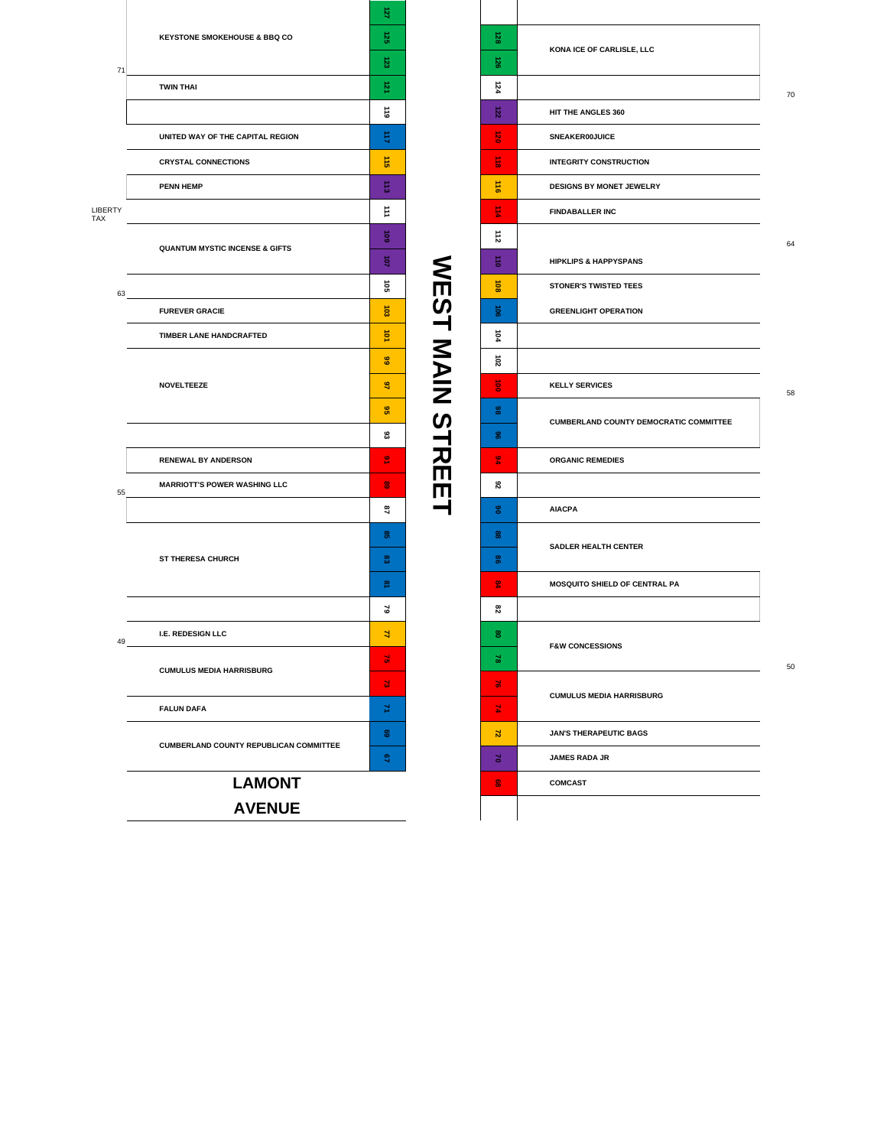|                |                                               | 8                  |                       |
|----------------|-----------------------------------------------|--------------------|-----------------------|
|                | <b>KEYSTONE SMOKEHOUSE &amp; BBQ CO</b>       | 룡                  |                       |
| 71             |                                               | జ                  |                       |
|                | <b>TWIN THAI</b>                              | 蔓                  |                       |
|                |                                               | $\overline{6}$     |                       |
|                | UNITED WAY OF THE CAPITAL REGION              | 目                  |                       |
|                | <b>CRYSTAL CONNECTIONS</b>                    | $\rightarrow$<br>å |                       |
|                | <b>PENN HEMP</b>                              | 름                  |                       |
| LIBERTY<br>TAX |                                               | $\vec{=}$          |                       |
|                | <b>QUANTUM MYSTIC INCENSE &amp; GIFTS</b>     | ន៊ូ                |                       |
|                |                                               | ਭੋ                 |                       |
| 63             |                                               | ទី                 |                       |
|                | <b>FUREVER GRACIE</b>                         | និ                 |                       |
|                | TIMBER LANE HANDCRAFTED                       | ğ                  |                       |
|                |                                               | <b>GG</b>          |                       |
|                | <b>NOVELTEEZE</b>                             | S,                 |                       |
|                |                                               |                    | <b>SEST NAIN STRE</b> |
|                |                                               | జ                  |                       |
|                | <b>RENEWAL BY ANDERSON</b>                    | <u>ی</u>           |                       |
| 55             | <b>MARRIOTT'S POWER WASHING LLC</b>           | 8                  |                       |
|                |                                               | a,                 |                       |
|                |                                               | ႜ                  |                       |
|                | <b>ST THERESA CHURCH</b>                      | ၕ                  |                       |
|                |                                               | 옆                  |                       |
|                |                                               | ప                  |                       |
| 49             | I.E. REDESIGN LLC                             | ₹                  |                       |
|                | <b>CUMULUS MEDIA HARRISBURG</b>               | 긝                  |                       |
|                |                                               | 긚                  |                       |
|                | <b>FALUN DAFA</b>                             | ž                  |                       |
|                | <b>CUMBERLAND COUNTY REPUBLICAN COMMITTEE</b> | ෂී                 |                       |
|                |                                               | S.                 |                       |
|                | <b>LAMONT</b>                                 |                    |                       |
|                | <b>AVENUE</b>                                 |                    |                       |

| ន្ល              | KONA ICE OF CARLISLE, LLC                     |    |
|------------------|-----------------------------------------------|----|
| 8                |                                               |    |
| 124              |                                               | 70 |
| $\overline{122}$ | HIT THE ANGLES 360                            |    |
| $\vec{8}$        | SNEAKER00JUICE                                |    |
| ÷.<br>$\vec{a}$  | <b>INTEGRITY CONSTRUCTION</b>                 |    |
| $\frac{11}{9}$   | DESIGNS BY MONET JEWELRY                      |    |
| $\frac{1}{4}$    | <b>FINDABALLER INC</b>                        |    |
| 112              |                                               | 64 |
| $\frac{1}{6}$    | <b>HIPKLIPS &amp; HAPPYSPANS</b>              |    |
| ន                | <b>STONER'S TWISTED TEES</b>                  |    |
| ន្ល              | <b>GREENLIGHT OPERATION</b>                   |    |
| Ī,               |                                               |    |
| ន                |                                               |    |
| 8                | <b>KELLY SERVICES</b>                         | 58 |
| 8                |                                               |    |
| န္တ              | <b>CUMBERLAND COUNTY DEMOCRATIC COMMITTEE</b> |    |
| 94               | <b>ORGANIC REMEDIES</b>                       |    |
| ន                |                                               |    |
| ဧ                | <b>AIACPA</b>                                 |    |
| 8                |                                               |    |
| 3                | <b>SADLER HEALTH CENTER</b>                   |    |
| ឌ                | MOSQUITO SHIELD OF CENTRAL PA                 |    |
| ន                |                                               |    |
| ႜ                |                                               |    |
| ಜ                | <b>F&amp;W CONCESSIONS</b>                    | 50 |
| 忌                |                                               |    |
| 고                | <b>CUMULUS MEDIA HARRISBURG</b>               |    |
| 귆                | <b>JAN'S THERAPEUTIC BAGS</b>                 |    |
| 3                | <b>JAMES RADA JR</b>                          |    |
| 8                | <b>COMCAST</b>                                |    |
|                  |                                               |    |
|                  |                                               |    |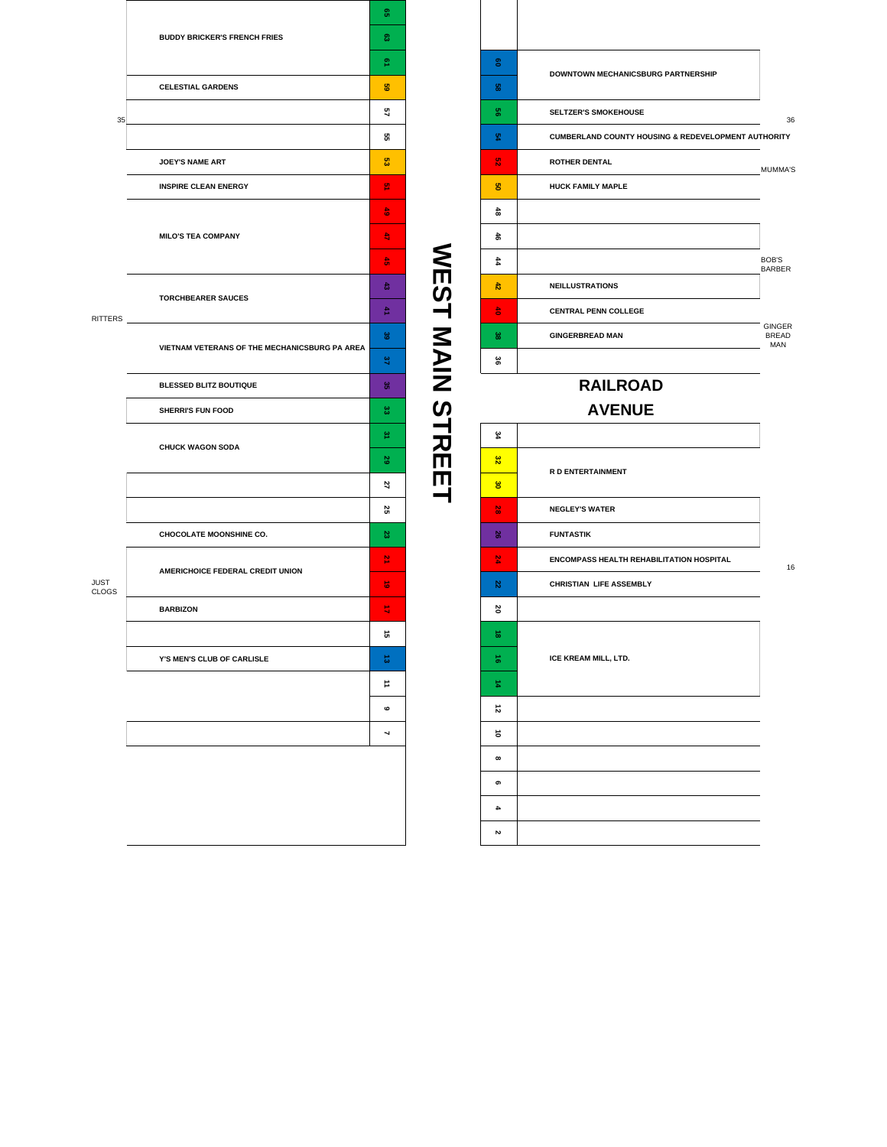|                      |                                               | õì                       |  |  |  |
|----------------------|-----------------------------------------------|--------------------------|--|--|--|
|                      | <b>BUDDY BRICKER'S FRENCH FRIES</b>           |                          |  |  |  |
|                      |                                               | o.                       |  |  |  |
|                      | <b>CELESTIAL GARDENS</b>                      | 8                        |  |  |  |
| 35                   |                                               | 3                        |  |  |  |
|                      |                                               | G.                       |  |  |  |
|                      | <b>JOEY'S NAME ART</b>                        | S.                       |  |  |  |
|                      | <b>INSPIRE CLEAN ENERGY</b>                   | 옆                        |  |  |  |
|                      |                                               | ढे                       |  |  |  |
|                      | <b>MILO'S TEA COMPANY</b>                     |                          |  |  |  |
|                      |                                               | 흙                        |  |  |  |
|                      | <b>TORCHBEARER SAUCES</b>                     | ढ                        |  |  |  |
| RITTERS              |                                               | 츂                        |  |  |  |
|                      | VIETNAM VETERANS OF THE MECHANICSBURG PA AREA | 3                        |  |  |  |
|                      |                                               |                          |  |  |  |
|                      | BLESSED BLITZ BOUTIQUE                        | &                        |  |  |  |
|                      | <b>SHERRI'S FUN FOOD</b>                      | ಜ                        |  |  |  |
|                      | <b>CHUCK WAGON SODA</b>                       | 옆                        |  |  |  |
|                      |                                               |                          |  |  |  |
|                      |                                               | 2                        |  |  |  |
|                      |                                               | 8                        |  |  |  |
|                      | <b>CHOCOLATE MOONSHINE CO.</b>                | 8                        |  |  |  |
|                      | AMERICHOICE FEDERAL CREDIT UNION              |                          |  |  |  |
| JUST<br><b>CLOGS</b> |                                               |                          |  |  |  |
|                      | <b>BARBIZON</b>                               | 局                        |  |  |  |
|                      |                                               | 긊                        |  |  |  |
|                      | Y'S MEN'S CLUB OF CARLISLE                    | ಕ                        |  |  |  |
|                      |                                               | ₿                        |  |  |  |
|                      |                                               | ဖ                        |  |  |  |
|                      |                                               | $\overline{\phantom{0}}$ |  |  |  |
|                      |                                               |                          |  |  |  |
|                      |                                               |                          |  |  |  |
|                      |                                               |                          |  |  |  |
|                      |                                               |                          |  |  |  |

**60 58 56 SELTZER'S SMOKEHOUSE** 36 **54 CUMBERLAND COUNTY HOUSING & REDEVELOPMENT AUTHORITY 52 ROTHER DENTAL** MUMMA'S **50 HUCK FAMILY MAPLE 48 46 44** BOB'S BARBER **42 NEILLUSTRATIONS 40 CENTRAL PENN COLLEGE 38 GINGERBREAD MAN** GINGER BREAD MAN **36 DOWNTOWN MECHANICSBURG PARTNERSHIP**

#### **AVENUE RAILROAD**

**WEST MAIN STREET**

**WEST MAIN STREET** 

#### **34 32 30 28 NEGLEY'S WATER 26 FUNTASTIK 24 ENCOMPASS HEALTH REHABILITATION HOSPITAL 22 CHRISTIAN LIFE ASSEMBLY 20**  $\vec{8}$ **16**  $\frac{1}{4}$ **12 10 8 6 4 2 R D ENTERTAINMENT ICE KREAM MILL, LTD.**

16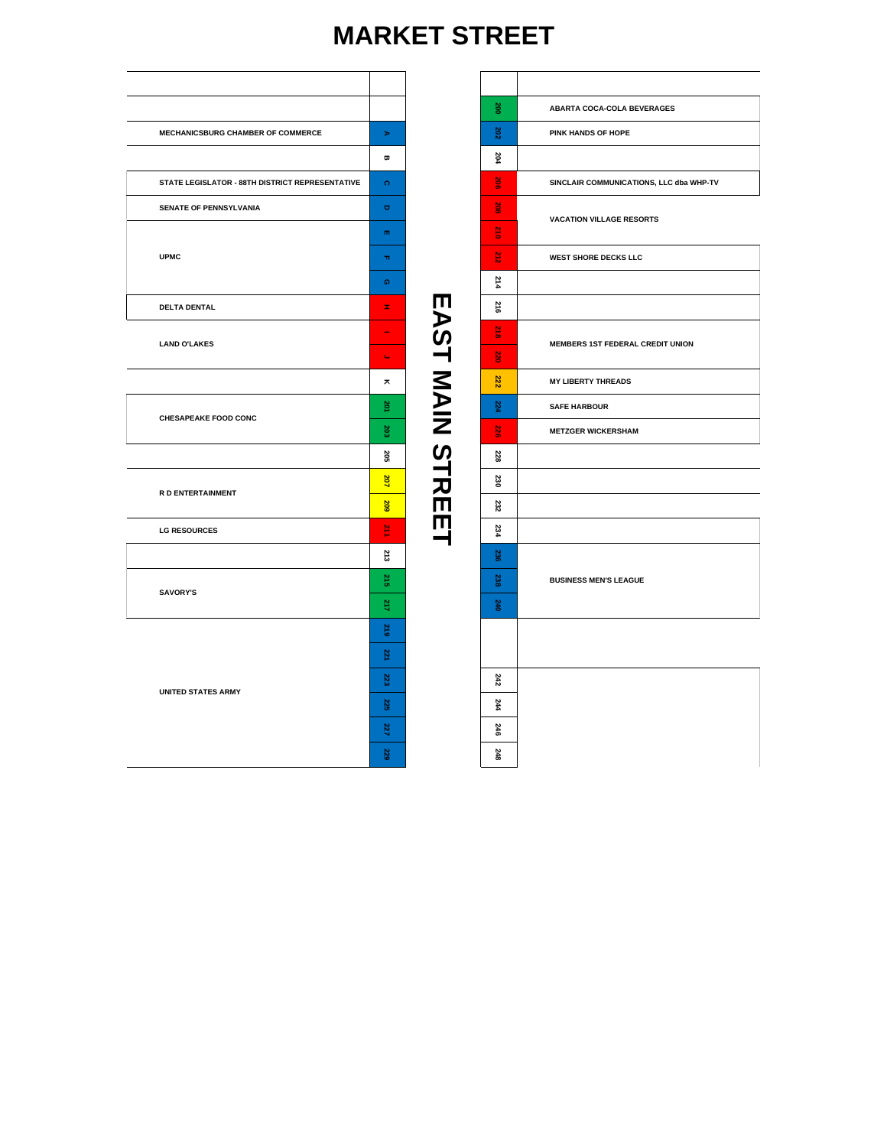### **MARKET STREET**

 $\Gamma$ 

|                                                 |                              |                        | 200                 | ABARTA COCA-COLA BEVERAGES         |
|-------------------------------------------------|------------------------------|------------------------|---------------------|------------------------------------|
| MECHANICSBURG CHAMBER OF COMMERCE               | $\blacktriangleright$        |                        | $202\,$             | PINK HANDS OF HOPE                 |
|                                                 | $\pmb{\varpi}$               |                        | 204                 |                                    |
| STATE LEGISLATOR - 88TH DISTRICT REPRESENTATIVE | $\Omega$                     |                        | $rac{8}{20}$        | SINCLAIR COMMUNICATIONS, LLC dba V |
| SENATE OF PENNSYLVANIA                          | $\qquad \qquad \blacksquare$ |                        | 208                 |                                    |
|                                                 | m                            |                        | $\frac{12}{10}$     | <b>VACATION VILLAGE RESORTS</b>    |
| <b>UPMC</b>                                     | $\mathbf{m}$                 |                        | $\frac{2}{3}$       | <b>WEST SHORE DECKS LLC</b>        |
|                                                 | Q                            |                        | 214                 |                                    |
| <b>DELTA DENTAL</b>                             | Ŧ,                           |                        | 216                 |                                    |
|                                                 | $\overline{\phantom{a}}$     |                        | $\frac{2}{3}$       |                                    |
| <b>LAND O'LAKES</b>                             | $\mathbb{C}$                 | <b>EAST MAIN STREE</b> | e e c<br><b>S20</b> | MEMBERS 1ST FEDERAL CREDIT UNION   |
|                                                 | ×                            |                        | 222                 | <b>MY LIBERTY THREADS</b>          |
|                                                 | 201                          |                        | 224                 | <b>SAFE HARBOUR</b>                |
| <b>CHESAPEAKE FOOD CONC</b>                     | 203                          |                        | S.                  | <b>METZGER WICKERSHAM</b>          |
|                                                 | 205                          |                        | 228                 |                                    |
| R D ENTERTAINMENT                               | 207                          |                        | 230                 |                                    |
|                                                 | 202                          |                        | 232                 |                                    |
| <b>LG RESOURCES</b>                             | $\frac{12}{11}$              |                        | 234                 |                                    |
|                                                 | 213                          |                        | 236                 |                                    |
| <b>SAVORY'S</b>                                 | 215                          |                        | 238                 | <b>BUSINESS MEN'S LEAGUE</b>       |
|                                                 | 217                          |                        | 240                 |                                    |
|                                                 | 219                          |                        |                     |                                    |
|                                                 | 22                           |                        |                     |                                    |
|                                                 | 223                          |                        | 242                 |                                    |
| <b>UNITED STATES ARMY</b>                       |                              |                        | 244                 |                                    |
|                                                 | 227                          |                        | 246                 |                                    |
|                                                 | 229                          |                        | 248                 |                                    |

| $\frac{200}{200}$ | ABARTA COCA-COLA BEVERAGES              |
|-------------------|-----------------------------------------|
| 202               | PINK HANDS OF HOPE                      |
| 204               |                                         |
| $rac{8}{206}$     | SINCLAIR COMMUNICATIONS, LLC dba WHP-TV |
| 202<br>٠          | <b>VACATION VILLAGE RESORTS</b>         |
| $\frac{12}{10}$   |                                         |
| 212               | <b>WEST SHORE DECKS LLC</b>             |
| 214               |                                         |
| 316               |                                         |
| $\frac{218}{2}$   | MEMBERS 1ST FEDERAL CREDIT UNION        |
| 220               |                                         |
| 222               | <b>MY LIBERTY THREADS</b>               |
| 224               | <b>SAFE HARBOUR</b>                     |
| 226               | <b>METZGER WICKERSHAM</b>               |
| 228               |                                         |
| 230               |                                         |
| 232               |                                         |
| 234               |                                         |
| 236               |                                         |
| 238               | <b>BUSINESS MEN'S LEAGUE</b>            |
| 240               |                                         |
|                   |                                         |
|                   |                                         |
| 242               |                                         |
| 244               |                                         |
| 246               |                                         |
| 248               |                                         |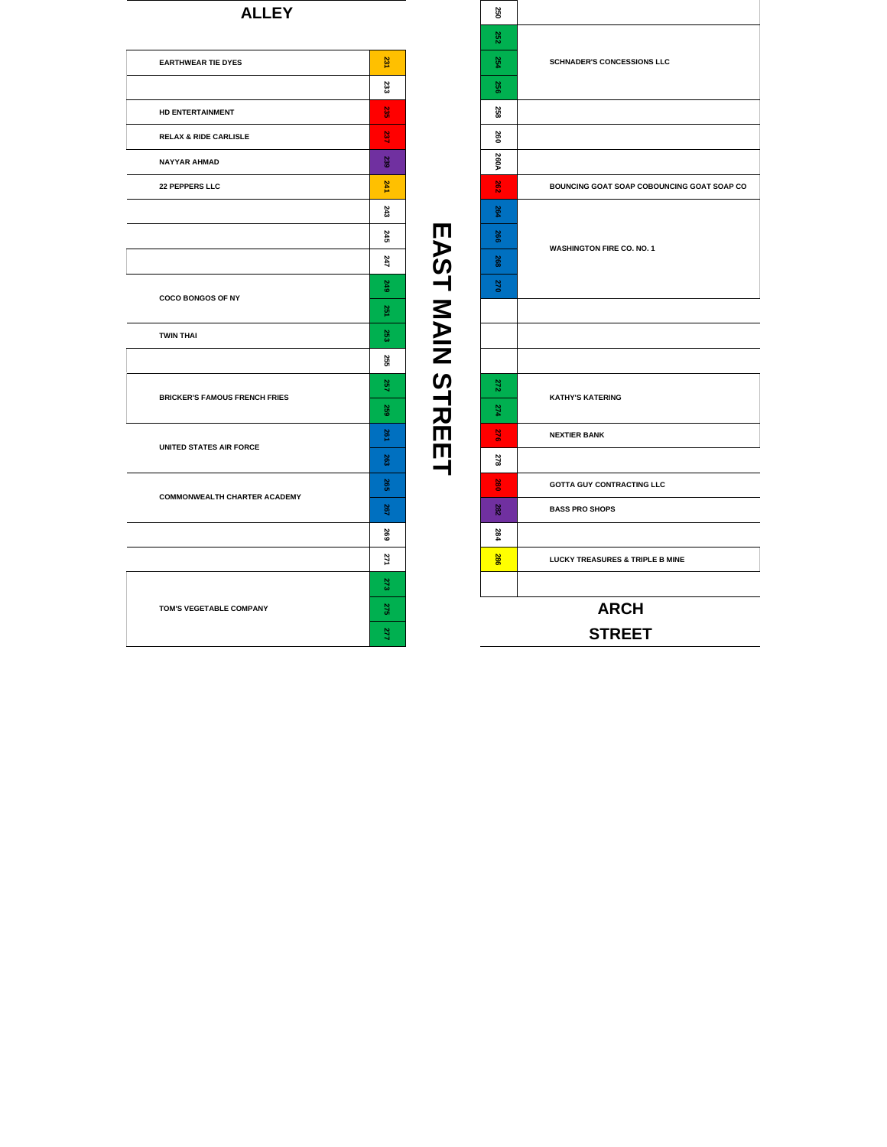#### **ALLEY**

| 231<br><b>EARTHWEAR TIE DYES</b><br>233<br>ដូ<br><b>HD ENTERTAINMENT</b><br>237<br><b>RELAX &amp; RIDE CARLISLE</b><br>239<br><b>NAYYAR AHMAD</b><br>241<br>22 PEPPERS LLC<br>243<br>245<br>247<br>249<br><b>COCO BONGOS OF NY</b><br>8g<br>253<br><b>TWIN THAI</b><br>255<br>257<br><b>BRICKER'S FAMOUS FRENCH FRIES</b><br>259<br>36<br>UNITED STATES AIR FORCE<br>263<br>265<br><b>COMMONWEALTH CHARTER ACADEMY</b><br>267<br>269<br>271<br>273<br>275<br>TOM'S VEGETABLE COMPANY<br>277 |  |
|---------------------------------------------------------------------------------------------------------------------------------------------------------------------------------------------------------------------------------------------------------------------------------------------------------------------------------------------------------------------------------------------------------------------------------------------------------------------------------------------|--|
|                                                                                                                                                                                                                                                                                                                                                                                                                                                                                             |  |
|                                                                                                                                                                                                                                                                                                                                                                                                                                                                                             |  |
|                                                                                                                                                                                                                                                                                                                                                                                                                                                                                             |  |
|                                                                                                                                                                                                                                                                                                                                                                                                                                                                                             |  |
|                                                                                                                                                                                                                                                                                                                                                                                                                                                                                             |  |
|                                                                                                                                                                                                                                                                                                                                                                                                                                                                                             |  |
|                                                                                                                                                                                                                                                                                                                                                                                                                                                                                             |  |
|                                                                                                                                                                                                                                                                                                                                                                                                                                                                                             |  |
|                                                                                                                                                                                                                                                                                                                                                                                                                                                                                             |  |
|                                                                                                                                                                                                                                                                                                                                                                                                                                                                                             |  |
|                                                                                                                                                                                                                                                                                                                                                                                                                                                                                             |  |
|                                                                                                                                                                                                                                                                                                                                                                                                                                                                                             |  |
|                                                                                                                                                                                                                                                                                                                                                                                                                                                                                             |  |
|                                                                                                                                                                                                                                                                                                                                                                                                                                                                                             |  |
|                                                                                                                                                                                                                                                                                                                                                                                                                                                                                             |  |
|                                                                                                                                                                                                                                                                                                                                                                                                                                                                                             |  |
|                                                                                                                                                                                                                                                                                                                                                                                                                                                                                             |  |
|                                                                                                                                                                                                                                                                                                                                                                                                                                                                                             |  |
|                                                                                                                                                                                                                                                                                                                                                                                                                                                                                             |  |
|                                                                                                                                                                                                                                                                                                                                                                                                                                                                                             |  |
|                                                                                                                                                                                                                                                                                                                                                                                                                                                                                             |  |
|                                                                                                                                                                                                                                                                                                                                                                                                                                                                                             |  |
|                                                                                                                                                                                                                                                                                                                                                                                                                                                                                             |  |
|                                                                                                                                                                                                                                                                                                                                                                                                                                                                                             |  |

**EAST MAIN STREET**

 **260A BOUNCING GOAT SOAP COBOUNCING GOAT SOAP CO NEXTIER BANK GOTTA GUY CONTRACTING LLC BASS PRO SHOPS LUCKY TREASURES & TRIPLE B MINE TOM'S VEGETABLE COMPANY ARCH STREET SCHNADER'S CONCESSIONS LLC WASHINGTON FIRE CO. NO. 1** ET A MASHINGTON FIRE CHEER BANK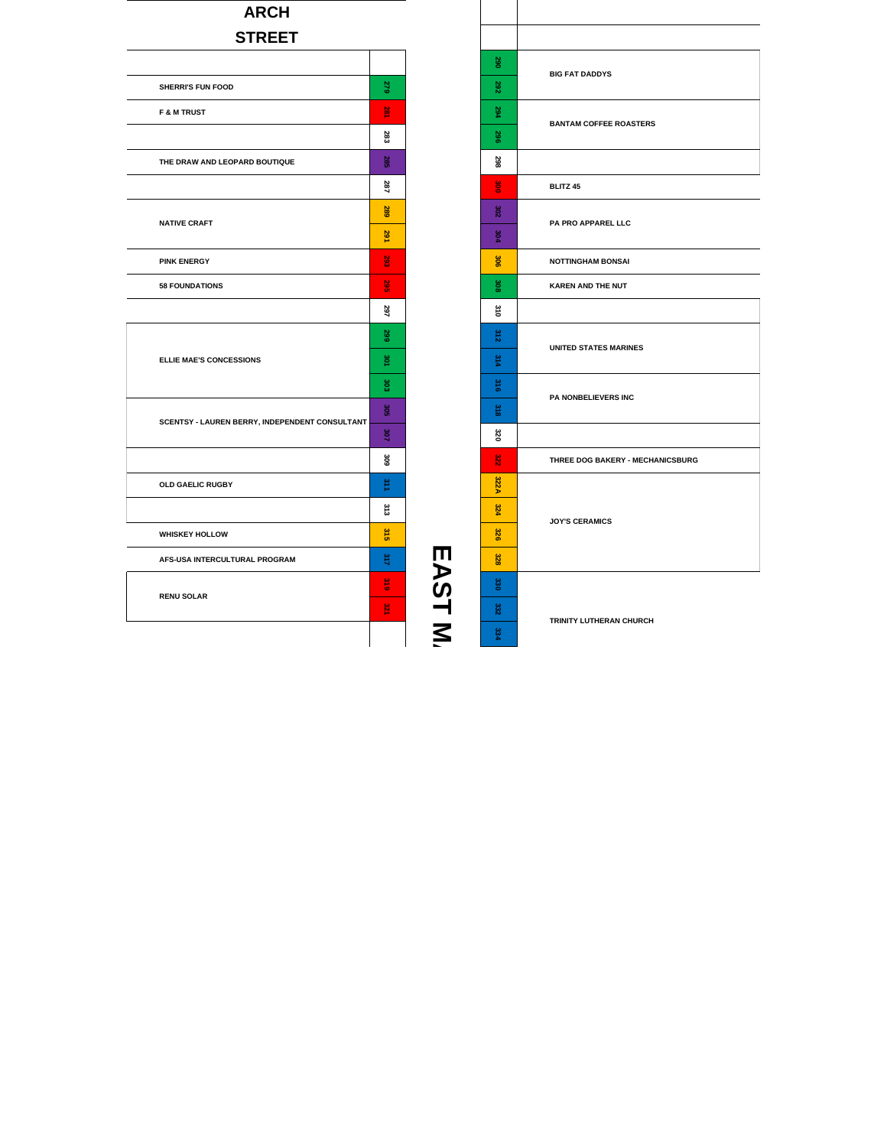#### **ARCH STREET**

|                                                |                |        | 290  | <b>BIG FAT DADDYS</b>      |
|------------------------------------------------|----------------|--------|------|----------------------------|
| SHERRI'S FUN FOOD                              | 279            |        | 282  |                            |
| <b>F &amp; M TRUST</b>                         | 显              |        | 294  | <b>BANTAM COFFEE ROA</b>   |
|                                                | 283            |        | 362  |                            |
| THE DRAW AND LEOPARD BOUTIQUE                  | 285            |        | 298  |                            |
|                                                | 287            |        | g    | <b>BLITZ 45</b>            |
|                                                | 289            |        | 302  |                            |
| <b>NATIVE CRAFT</b>                            | 291            |        | 304  | PA PRO APPAREL LLC         |
| <b>PINK ENERGY</b>                             | 293            |        | 306  | <b>NOTTINGHAM BONSAI</b>   |
| <b>58 FOUNDATIONS</b>                          | $\frac{8}{36}$ |        | 308  | KAREN AND THE NUT          |
|                                                | 297            |        | 310  |                            |
|                                                | 299            |        | 312  |                            |
| ELLIE MAE'S CONCESSIONS                        | 3or            |        | 314  | <b>UNITED STATES MARIN</b> |
|                                                | 303            |        | 316  |                            |
|                                                | 302            |        | 318  | PA NONBELIEVERS IN         |
| SCENTSY - LAUREN BERRY, INDEPENDENT CONSULTANT | <b>SOT</b>     |        | ន    |                            |
|                                                | 306            |        | 322  | THREE DOG BAKERY -         |
| OLD GAELIC RUGBY                               | 311            |        | 322A |                            |
|                                                | 313            |        | 324  |                            |
| <b>WHISKEY HOLLOW</b>                          | 315            |        | 326  | <b>JOY'S CERAMICS</b>      |
| AFS-USA INTERCULTURAL PROGRAM                  | 317            |        | 328  |                            |
|                                                | 316            | EAST N | 330  |                            |
| <b>RENU SOLAR</b>                              | 格              |        | 332  |                            |
|                                                |                |        | 8    | TRINITY LUTHERAN CH        |

**A**

| 290             | <b>BIG FAT DADDYS</b>            |
|-----------------|----------------------------------|
| 282             |                                  |
| 294             | <b>BANTAM COFFEE ROASTERS</b>    |
| 396             |                                  |
| 298             |                                  |
| š               | <b>BLITZ 45</b>                  |
| 302             | PA PRO APPAREL LLC               |
| 304             |                                  |
| 306             | <b>NOTTINGHAM BONSAI</b>         |
| 308             | <b>KAREN AND THE NUT</b>         |
| $\frac{310}{2}$ |                                  |
| 312             | <b>UNITED STATES MARINES</b>     |
| 314             |                                  |
| 316             | PA NONBELIEVERS INC              |
| 318             |                                  |
| ន               |                                  |
| 32g             | THREE DOG BAKERY - MECHANICSBURG |
| 322A            |                                  |
| 324             | <b>JOY'S CERAMICS</b>            |
| 326             |                                  |
| 328             |                                  |
| 330             |                                  |
| 332             | TRINITY LUTHERAN CHURCH          |
| 334             |                                  |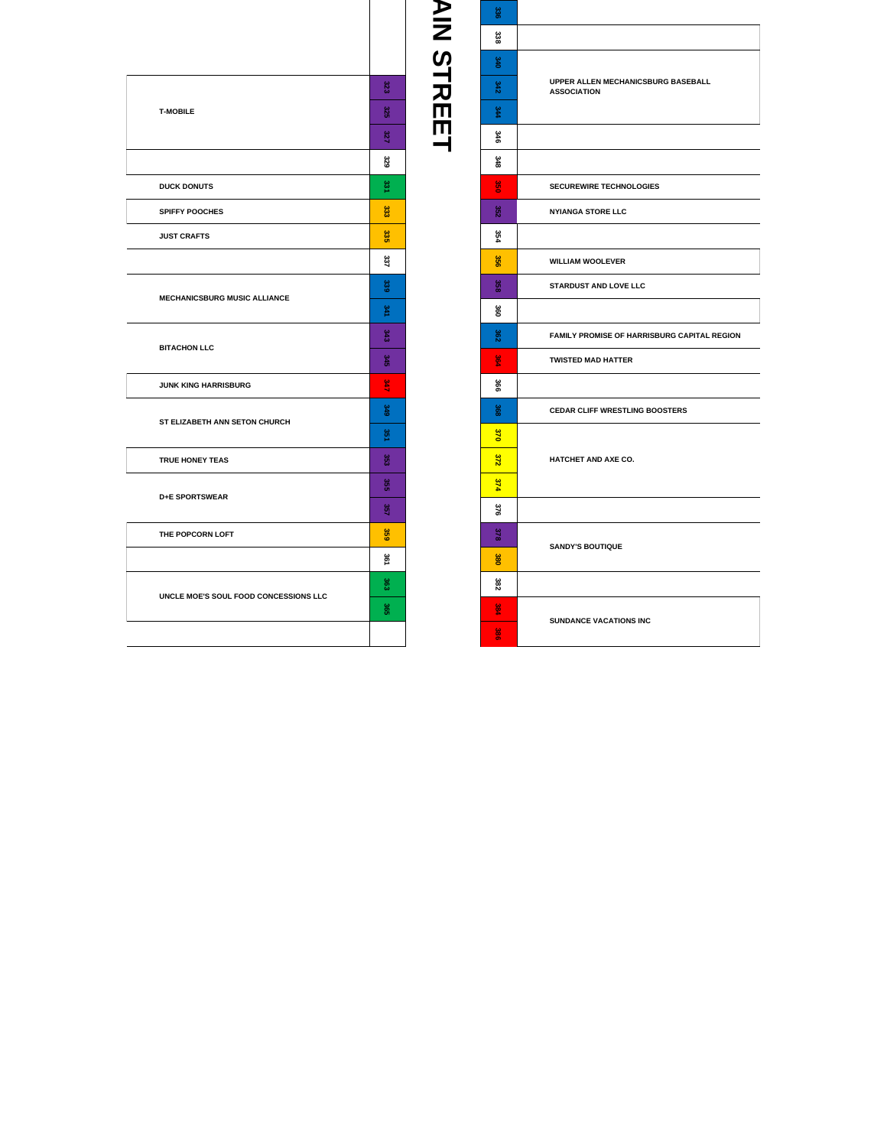|                                       | 323              |  |  |
|---------------------------------------|------------------|--|--|
| <b>T-MOBILE</b>                       |                  |  |  |
|                                       |                  |  |  |
|                                       | 329              |  |  |
| <b>DUCK DONUTS</b>                    | ಜ್ಞ              |  |  |
| <b>SPIFFY POOCHES</b>                 | 333              |  |  |
| <b>JUST CRAFTS</b>                    | 335              |  |  |
|                                       | 337              |  |  |
| <b>MECHANICSBURG MUSIC ALLIANCE</b>   | 339              |  |  |
|                                       | 341              |  |  |
| <b>BITACHON LLC</b>                   | 343              |  |  |
|                                       |                  |  |  |
| JUNK KING HARRISBURG                  | š                |  |  |
| ST ELIZABETH ANN SETON CHURCH         | 349              |  |  |
|                                       | g,               |  |  |
| TRUE HONEY TEAS                       | 353              |  |  |
| <b>D+E SPORTSWEAR</b>                 | SS <sub>SS</sub> |  |  |
|                                       | 357              |  |  |
| THE POPCORN LOFT                      | 359              |  |  |
|                                       | 361              |  |  |
|                                       | និ               |  |  |
| UNCLE MOE'S SOUL FOOD CONCESSIONS LLC | Sep              |  |  |
|                                       |                  |  |  |
|                                       |                  |  |  |

**AIN STREETAIN STREET** 

| 336           |                                                          |  |  |
|---------------|----------------------------------------------------------|--|--|
| 338           |                                                          |  |  |
| 340           |                                                          |  |  |
| 342           | UPPER ALLEN MECHANICSBURG BASEBALL<br><b>ASSOCIATION</b> |  |  |
| 344           |                                                          |  |  |
| 346           |                                                          |  |  |
| 348           |                                                          |  |  |
| 8g            | <b>SECUREWIRE TECHNOLOGIES</b>                           |  |  |
| 352           | <b>NYIANGA STORE LLC</b>                                 |  |  |
| 354           |                                                          |  |  |
| 356           | <b>WILLIAM WOOLEVER</b>                                  |  |  |
| 358           | <b>STARDUST AND LOVE LLC</b>                             |  |  |
| 360           |                                                          |  |  |
| 362           | FAMILY PROMISE OF HARRISBURG CAPITAL REGION              |  |  |
| $\frac{6}{2}$ | <b>TWISTED MAD HATTER</b>                                |  |  |
| 366           |                                                          |  |  |
| 368           | <b>CEDAR CLIFF WRESTLING BOOSTERS</b>                    |  |  |
| <b>S70</b>    |                                                          |  |  |
| 372           | HATCHET AND AXE CO.                                      |  |  |
| 374           |                                                          |  |  |
| 376           |                                                          |  |  |
| 378           | <b>SANDY'S BOUTIQUE</b>                                  |  |  |
| <b>S80</b>    |                                                          |  |  |
| 382           |                                                          |  |  |
| 384           | <b>SUNDANCE VACATIONS INC</b>                            |  |  |
| 8g            |                                                          |  |  |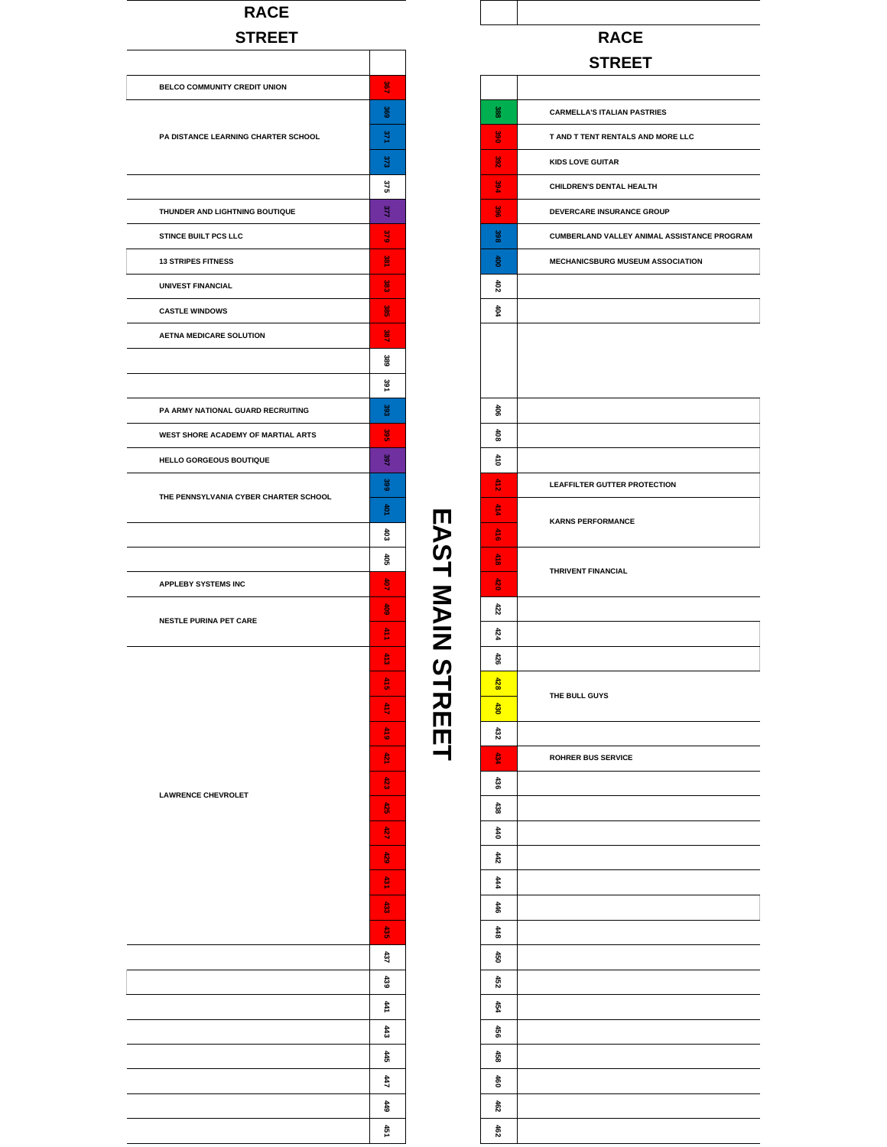#### **RACE STREET**

| BELCO COMMUNITY CREDIT UNION          | $\frac{8}{3}$  |
|---------------------------------------|----------------|
|                                       | 369            |
| PA DISTANCE LEARNING CHARTER SCHOOL   | 371            |
|                                       | 373            |
|                                       | 375            |
| THUNDER AND LIGHTNING BOUTIQUE        | 377            |
| STINCE BUILT PCS LLC                  | $\frac{12}{2}$ |
| <b>13 STRIPES FITNESS</b>             | $\frac{6}{2}$  |
| <b>UNIVEST FINANCIAL</b>              | š              |
| <b>CASTLE WINDOWS</b>                 | 8g             |
| <b>AETNA MEDICARE SOLUTION</b>        | ă              |
|                                       | 389            |
|                                       | 391            |
| PA ARMY NATIONAL GUARD RECRUITING     | င္ထိ           |
| WEST SHORE ACADEMY OF MARTIAL ARTS    | ន្ត្រី<br>ចំ   |
| <b>HELLO GORGEOUS BOUTIQUE</b>        | 397            |
|                                       | 399            |
| THE PENNSYLVANIA CYBER CHARTER SCHOOL | ਭੈ             |
|                                       | 4O3            |
|                                       | ŝ              |
| <b>APPLEBY SYSTEMS INC</b>            | å              |
|                                       | $\frac{1}{6}$  |
| <b>NESTLE PURINA PET CARE</b>         | 土工             |
|                                       | $\frac{41}{3}$ |
|                                       | $rac{4}{5}$    |
|                                       | Ê              |
|                                       | $\frac{41}{9}$ |
|                                       | 421            |
|                                       | 423            |
| <b>LAWRENCE CHEVROLET</b>             | $rac{1}{25}$   |
|                                       | 427            |
|                                       | 429            |
|                                       | 台              |
|                                       | å              |
|                                       | ិ<br>ទី        |
|                                       | 437            |
|                                       | 439            |
|                                       | 441            |
|                                       | 443            |
|                                       | 445            |
|                                       | 447            |
|                                       | 449            |
|                                       | 451            |
|                                       |                |

#### **RACE**

#### **STREET**

| 388            | <b>CARMELLA'S ITALIAN PASTRIES</b>          |
|----------------|---------------------------------------------|
| š              | T AND T TENT RENTALS AND MORE LLC           |
| 392            | <b>KIDS LOVE GUITAR</b>                     |
| 394            | CHILDREN'S DENTAL HEALTH                    |
| $\frac{62}{5}$ | DEVERCARE INSURANCE GROUP                   |
| 398            | CUMBERLAND VALLEY ANIMAL ASSISTANCE PROGRAM |
| $\frac{4}{9}$  | <b>MECHANICSBURG MUSEUM ASSOCIATION</b>     |
| 402            |                                             |
| 404            |                                             |
|                |                                             |
|                |                                             |
|                |                                             |
| \$             |                                             |
| 408            |                                             |
| 110            |                                             |
| $\frac{4}{10}$ | LEAFFILTER GUTTER PROTECTION                |
| 414            | <b>KARNS PERFORMANCE</b>                    |
| $\frac{4}{10}$ |                                             |
| 418            | THRIVENT FINANCIAL                          |
| $\frac{1}{2}$  |                                             |
| 422            |                                             |
| 424            |                                             |
| 426            |                                             |
| 428            | THE BULL GUYS                               |
| 430            |                                             |
| 432            |                                             |
| <b>AS</b>      | <b>ROHRER BUS SERVICE</b>                   |
| 436            |                                             |
| 438            |                                             |
| 440            |                                             |
| 442            |                                             |
| 444            |                                             |
| 446            |                                             |
| 448            |                                             |
| 450            |                                             |
| 452            |                                             |
| 454            |                                             |
| \$             |                                             |
| 458            |                                             |
| 460            |                                             |
| 462            |                                             |
| 462            |                                             |

**EAST MAIN STREET**

EAST MAIN STREET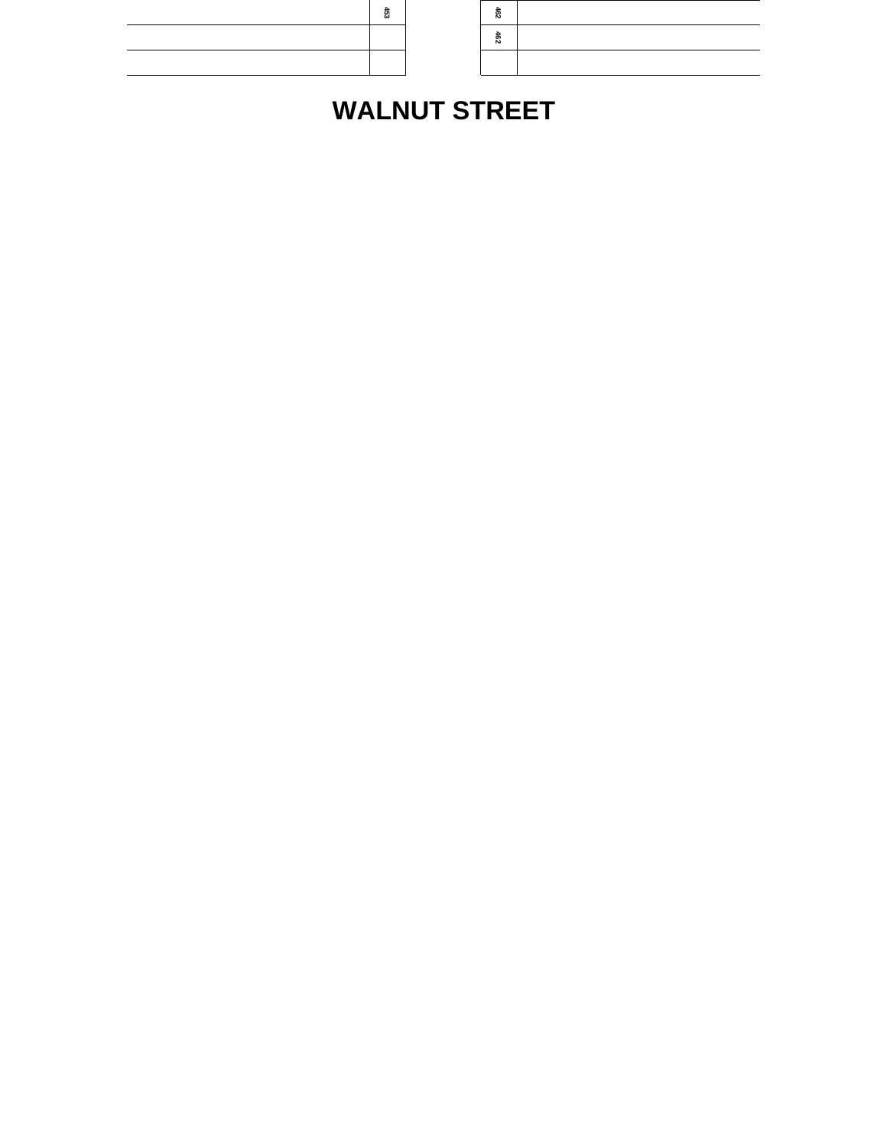| د، | טח |  |
|----|----|--|
|    | N  |  |
|    |    |  |
|    |    |  |

# **WALNUT STREET**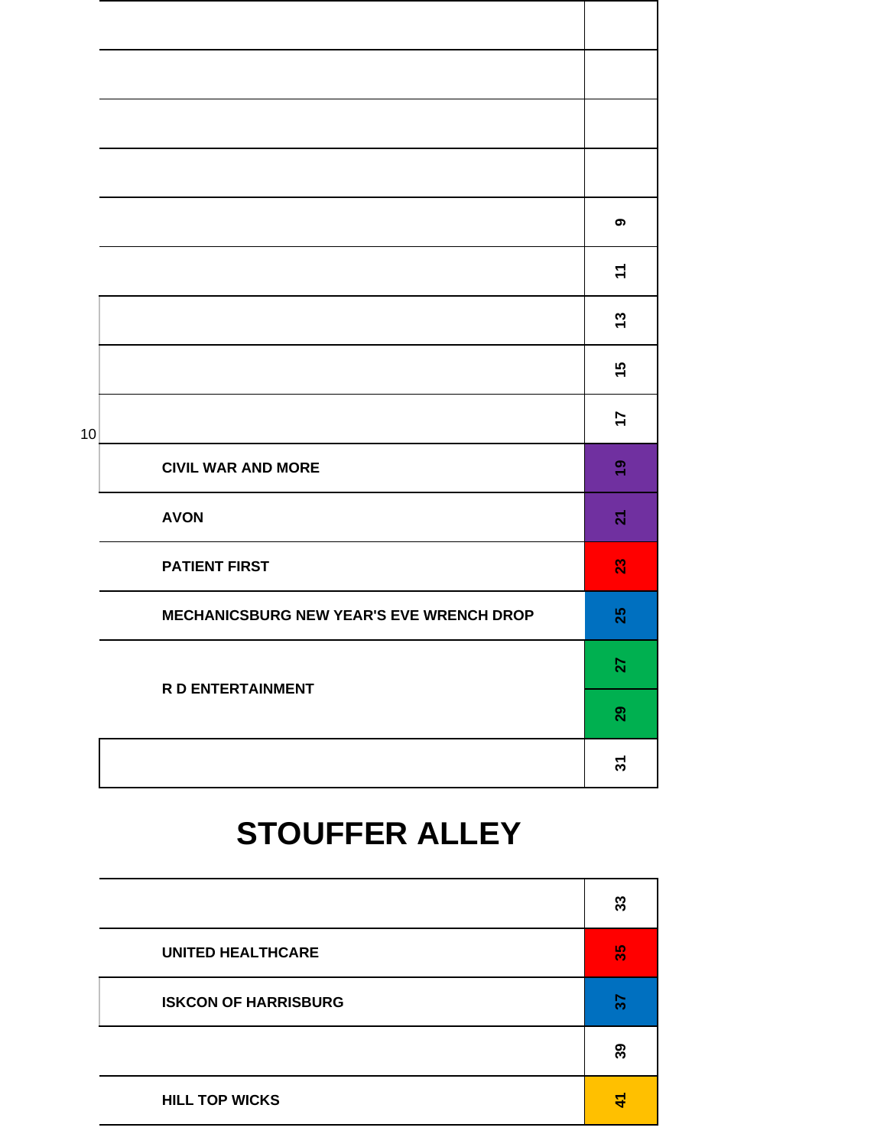|    |                                          | თ                 |
|----|------------------------------------------|-------------------|
|    |                                          | $\div$            |
|    |                                          | $\boldsymbol{13}$ |
|    |                                          | 15                |
| 10 |                                          | 17                |
|    | <b>CIVIL WAR AND MORE</b>                | $\frac{6}{7}$     |
|    | <b>AVON</b>                              | $\mathbf{z}$      |
|    | <b>PATIENT FIRST</b>                     | 23                |
|    | MECHANICSBURG NEW YEAR'S EVE WRENCH DROP | 25                |
|    | <b>R D ENTERTAINMENT</b>                 | 27                |
|    |                                          | 29                |
|    |                                          | 5                 |

# **STOUFFER ALLEY**

|                             | 33  |
|-----------------------------|-----|
| <b>UNITED HEALTHCARE</b>    | န္က |
| <b>ISKCON OF HARRISBURG</b> | ్గ  |
|                             | 39  |
| <b>HILL TOP WICKS</b>       | 4   |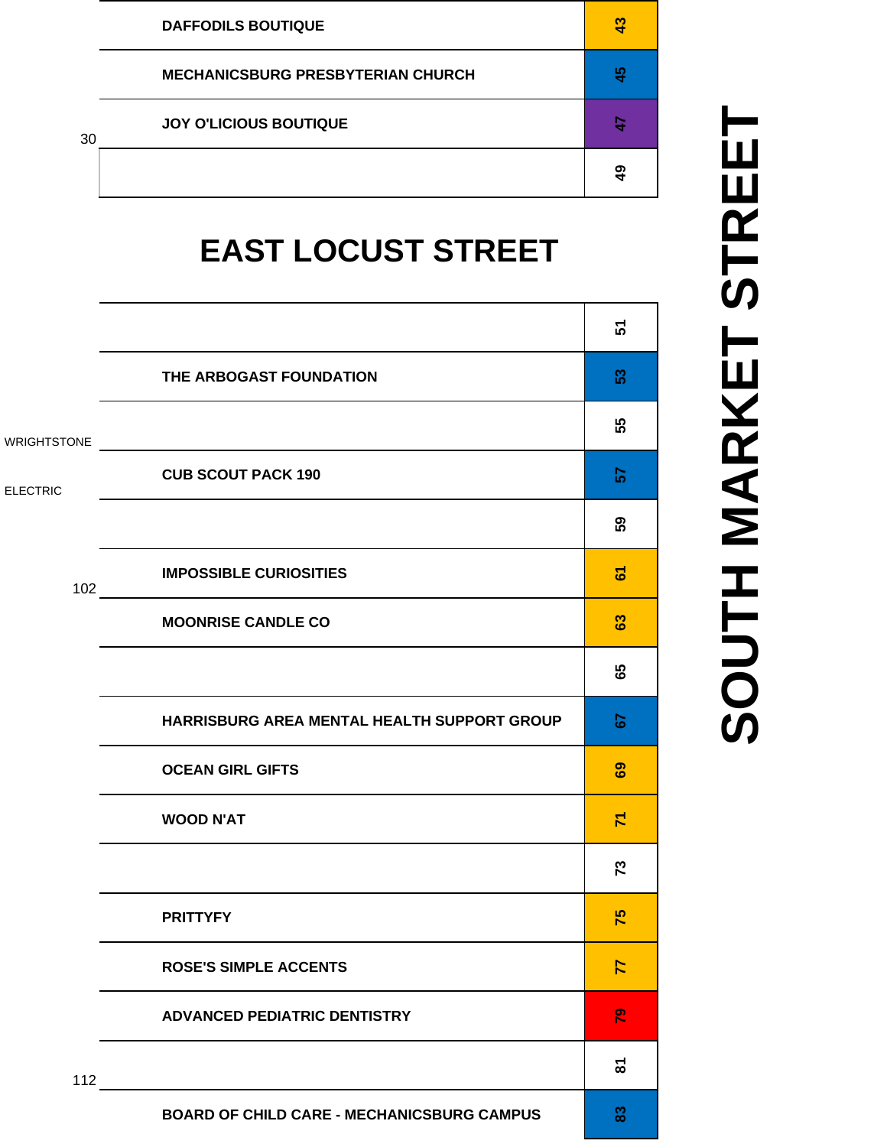|    | <b>DAFFODILS BOUTIQUE</b>                | g             |
|----|------------------------------------------|---------------|
|    | <b>MECHANICSBURG PRESBYTERIAN CHURCH</b> | $\frac{4}{5}$ |
| 30 | <b>JOY O'LICIOUS BOUTIQUE</b>            |               |
|    |                                          | 9             |

# **EAST LOCUST STREET**

|                    |                                                            | 5                       |
|--------------------|------------------------------------------------------------|-------------------------|
|                    | THE ARBOGAST FOUNDATION                                    | 53                      |
| <b>WRIGHTSTONE</b> | <u> 1989 - John Stein, mars and de Brazilian (b. 1989)</u> | 55                      |
| <b>ELECTRIC</b>    | <b>CUB SCOUT PACK 190</b>                                  | 5                       |
|                    |                                                            | 59                      |
| 102                | <b>IMPOSSIBLE CURIOSITIES</b>                              | ৯                       |
|                    | <b>MOONRISE CANDLE CO</b>                                  | 63                      |
|                    |                                                            | 89                      |
|                    | HARRISBURG AREA MENTAL HEALTH SUPPORT GROUP                | 57                      |
|                    | <b>OCEAN GIRL GIFTS</b>                                    | 89                      |
|                    | <b>WOOD N'AT</b>                                           | $\overline{\mathsf{r}}$ |
|                    |                                                            | 73                      |
|                    | <b>PRITTYFY</b>                                            | 75                      |
|                    | <b>ROSE'S SIMPLE ACCENTS</b>                               | 77                      |
|                    | <b>ADVANCED PEDIATRIC DENTISTRY</b>                        | $\mathbb{R}^2$          |
|                    | $112$ $\overline{\phantom{a}}$                             | <u>ន</u>                |
|                    | <b>BOARD OF CHILD CARE - MECHANICSBURG CAMPUS</b>          | 83                      |

# SOUTH MARKET STREET **SOUTH MARKET STREET**